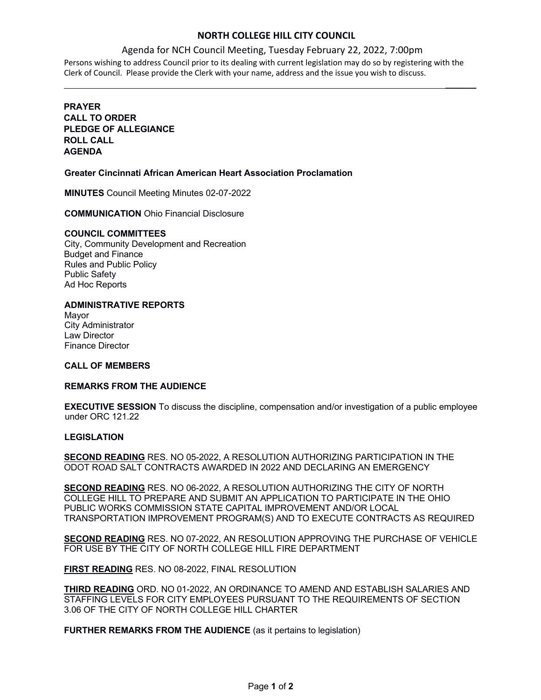## **NORTH COLLEGE HILL CITY COUNCIL**

 $\frac{1}{2}$ 

#### Agenda for NCH Council Meeting, Tuesday February 22, 2022, 7:00pm

Persons wishing to address Council prior to its dealing with current legislation may do so by registering with the Clerk of Council. Please provide the Clerk with your name, address and the issue you wish to discuss.

## **PRAYER CALL TO ORDER PLEDGE OF ALLEGIANCE ROLL CALL AGENDA**

#### **Greater Cincinnati African American Heart Association Proclamation**

**MINUTES** Council Meeting Minutes 02-07-2022

**COMMUNICATION** Ohio Financial Disclosure

#### **COUNCIL COMMITTEES**

City, Community Development and Recreation Budget and Finance Rules and Public Policy Public Safety Ad Hoc Reports

#### **ADMINISTRATIVE REPORTS**

Mayor City Administrator Law Director Finance Director

#### **CALL OF MEMBERS**

#### **REMARKS FROM THE AUDIENCE**

**EXECUTIVE SESSION** To discuss the discipline, compensation and/or investigation of a public employee under ORC 121.22

### **LEGISLATION**

**SECOND READING** RES. NO 05-2022, A RESOLUTION AUTHORIZING PARTICIPATION IN THE ODOT ROAD SALT CONTRACTS AWARDED IN 2022 AND DECLARING AN EMERGENCY

**SECOND READING** RES. NO 06-2022, A RESOLUTION AUTHORIZING THE CITY OF NORTH COLLEGE HILL TO PREPARE AND SUBMIT AN APPLICATION TO PARTICIPATE IN THE OHIO PUBLIC WORKS COMMISSION STATE CAPITAL IMPROVEMENT AND/OR LOCAL TRANSPORTATION IMPROVEMENT PROGRAM(S) AND TO EXECUTE CONTRACTS AS REQUIRED

**SECOND READING** RES. NO 07-2022, AN RESOLUTION APPROVING THE PURCHASE OF VEHICLE FOR USE BY THE CITY OF NORTH COLLEGE HILL FIRE DEPARTMENT

**FIRST READING** RES. NO 08-2022, FINAL RESOLUTION

**THIRD READING** ORD. NO 01-2022, AN ORDINANCE TO AMEND AND ESTABLISH SALARIES AND STAFFING LEVELS FOR CITY EMPLOYEES PURSUANT TO THE REQUIREMENTS OF SECTION 3.06 OF THE CITY OF NORTH COLLEGE HILL CHARTER

**FURTHER REMARKS FROM THE AUDIENCE** (as it pertains to legislation)